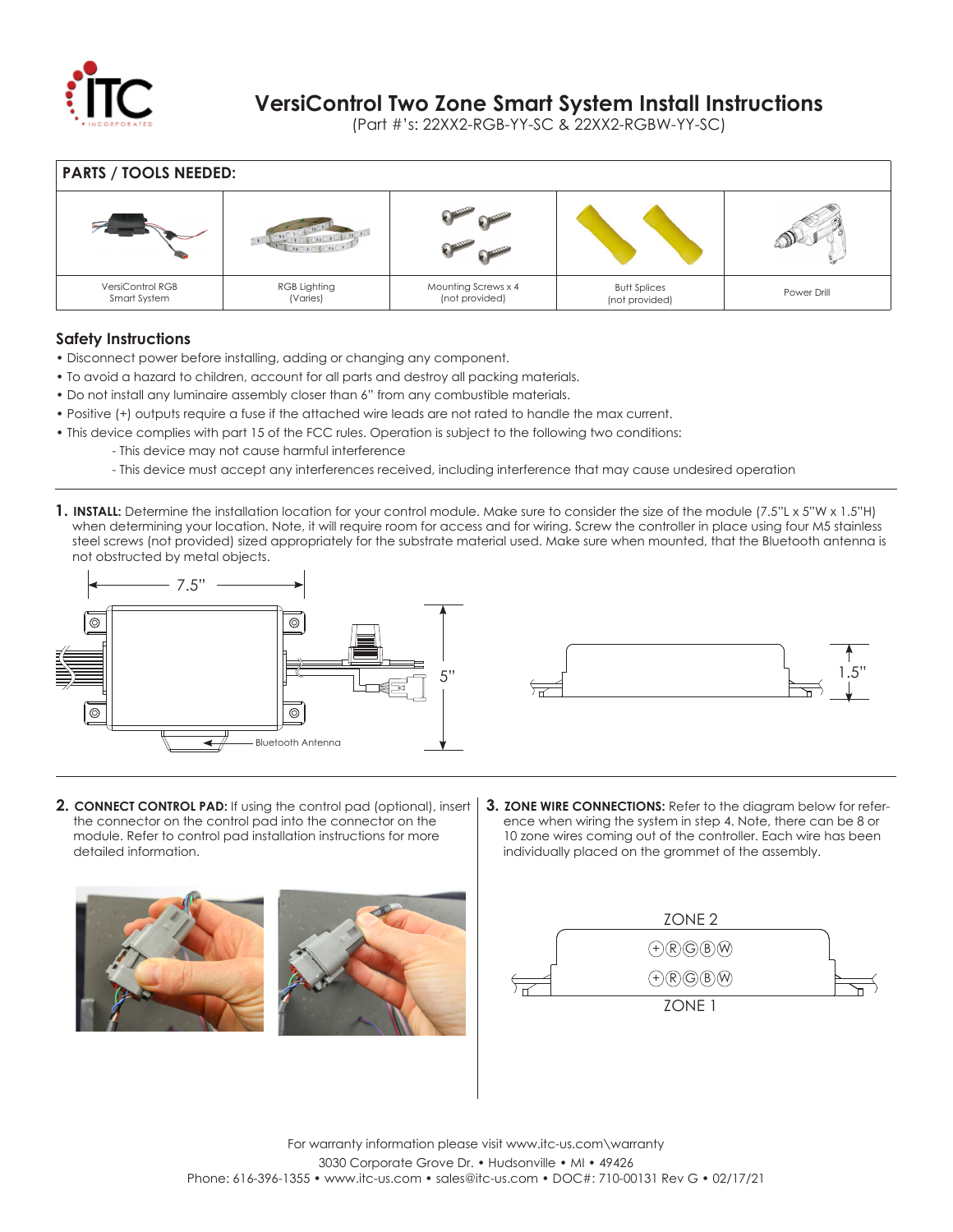

## **VersiControl Two Zone Smart System Install Instructions**

(Part #'s: 22XX2-RGB-YY-SC & 22XX2-RGBW-YY-SC)

| <b>PARTS / TOOLS NEEDED:</b>     |                          |                                       |                                       |             |  |  |
|----------------------------------|--------------------------|---------------------------------------|---------------------------------------|-------------|--|--|
|                                  |                          |                                       |                                       |             |  |  |
| VersiControl RGB<br>Smart System | RGB Lighting<br>(Varies) | Mounting Screws x 4<br>(not provided) | <b>Butt Splices</b><br>(not provided) | Power Drill |  |  |

## **Safety Instructions**

- Disconnect power before installing, adding or changing any component.
- To avoid a hazard to children, account for all parts and destroy all packing materials.
- Do not install any luminaire assembly closer than 6" from any combustible materials.
- Positive (+) outputs require a fuse if the attached wire leads are not rated to handle the max current.
- This device complies with part 15 of the FCC rules. Operation is subject to the following two conditions:
	- This device may not cause harmful interference
		- This device must accept any interferences received, including interference that may cause undesired operation
- 1. INSTALL: Determine the installation location for your control module. Make sure to consider the size of the module (7.5"L x 5"W x 1.5"H) when determining your location. Note, it will require room for access and for wiring. Screw the controller in place using four M5 stainless steel screws (not provided) sized appropriately for the substrate material used. Make sure when mounted, that the Bluetooth antenna is not obstructed by metal objects.





- **2. CONNECT CONTROL PAD:** If using the control pad (optional), insert the connector on the control pad into the connector on the module. Refer to control pad installation instructions for more detailed information.
- **3. ZONE WIRE CONNECTIONS:** Refer to the diagram below for refer ence when wiring the system in step 4. Note, there can be 8 or 10 zone wires coming out of the controller. Each wire has been individually placed on the grommet of the assembly.



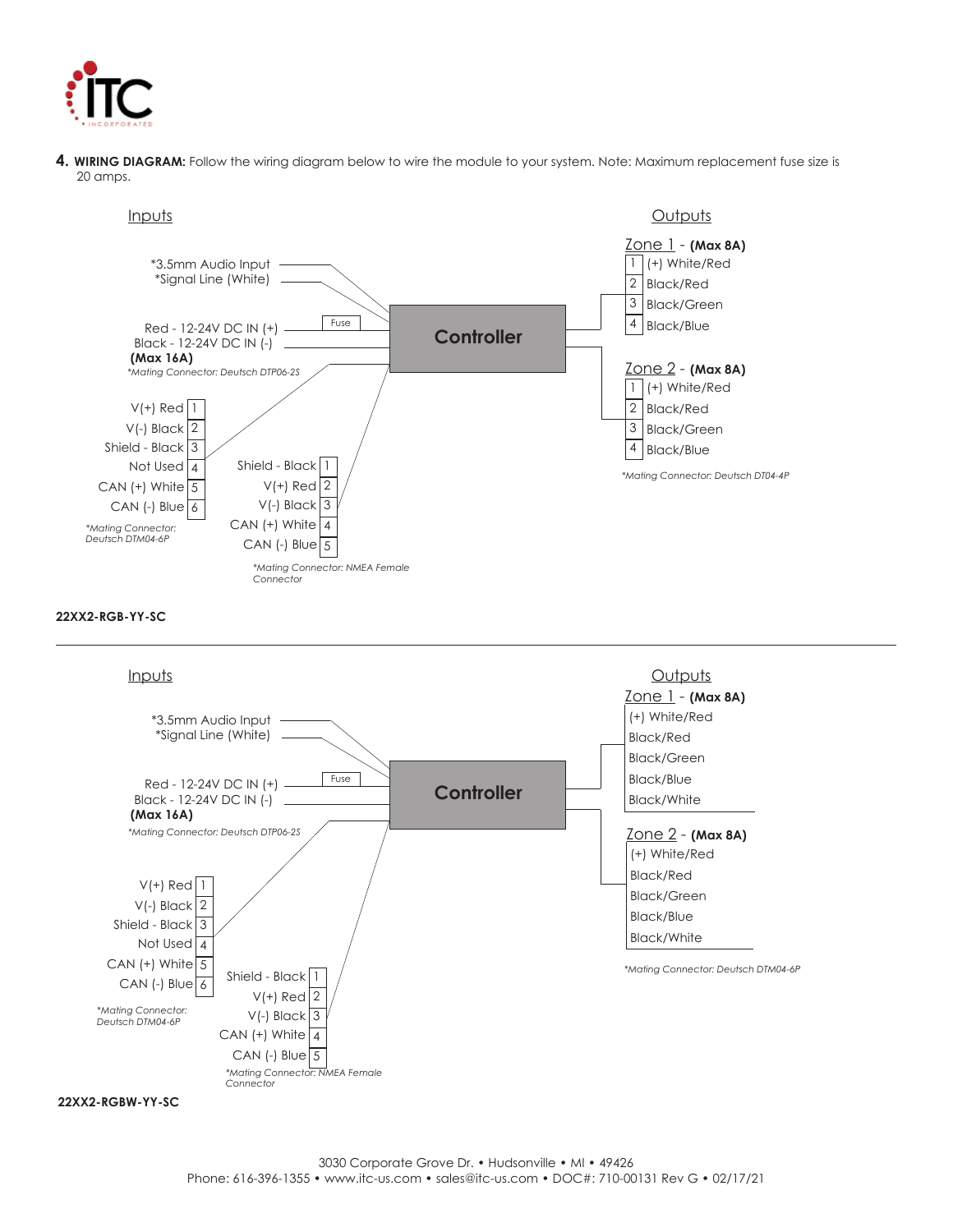

**4. WIRING DIAGRAM:** Follow the wiring diagram below to wire the module to your system. Note: Maximum replacement fuse size is 20 amps.



### **22XX2-RGB-YY-SC**



**22XX2-RGBW-YY-SC**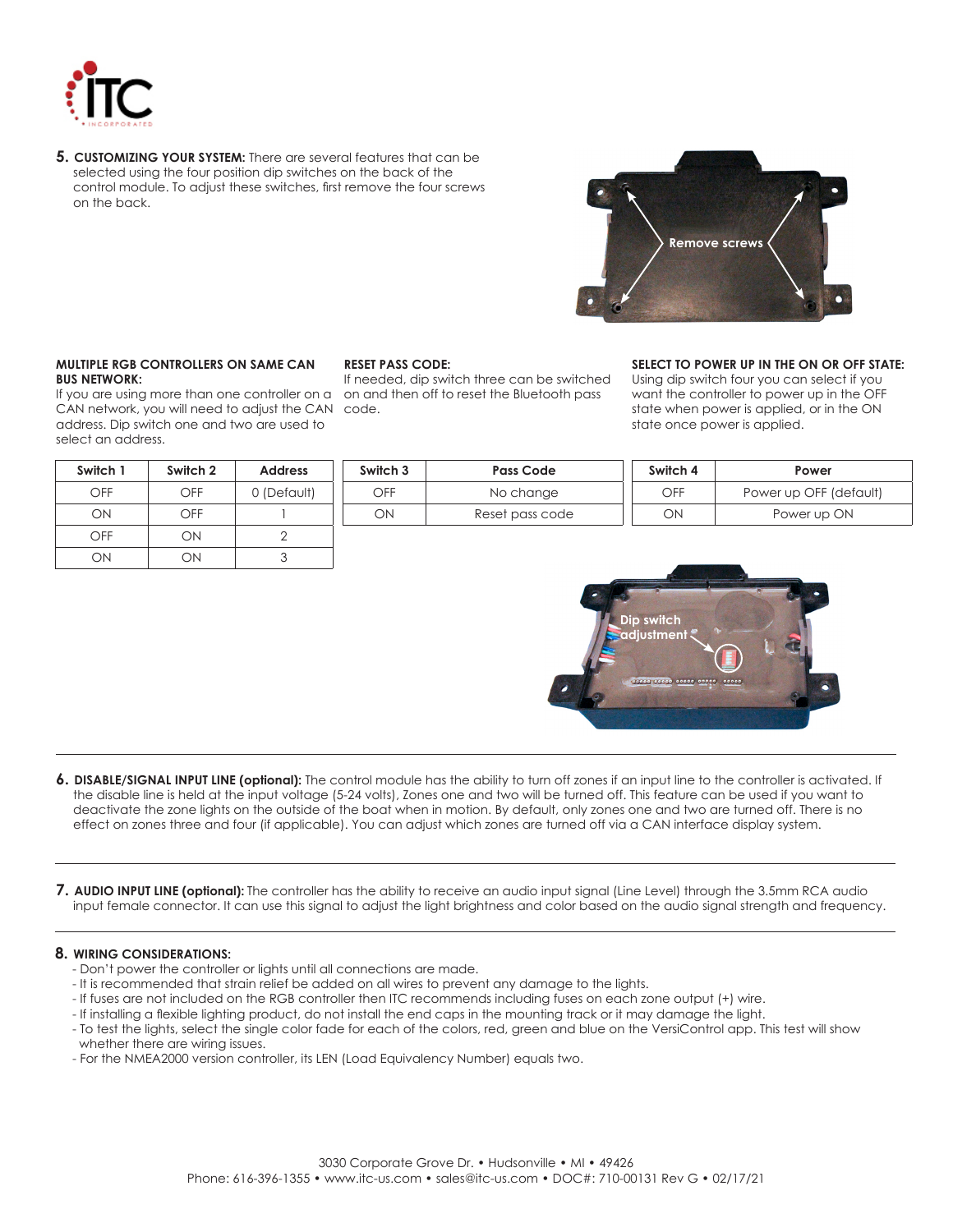

**5. CUSTOMIZING YOUR SYSTEM:** There are several features that can be selected using the four position dip switches on the back of the control module. To adjust these switches, first remove the four screws on the back.



### **MULTIPLE RGB CONTROLLERS ON SAME CAN BUS NETWORK:**

If you are using more than one controller on a CAN network, you will need to adjust the CAN code. address. Dip switch one and two are used to select an address.

| Switch 1 | Switch 2 | <b>Address</b> |
|----------|----------|----------------|
| OFF      | OFF      | 0 (Default)    |
| OΝ       | OFF      |                |
| OFF      | ON       |                |
|          | NС       |                |

### **RESET PASS CODE:**

If needed, dip switch three can be switched on and then off to reset the Bluetooth pass

### **SELECT TO POWER UP IN THE ON OR OFF STATE:**

Using dip switch four you can select if you want the controller to power up in the OFF state when power is applied, or in the ON state once power is applied.

| Switch 3 | <b>Pass Code</b> | Switch 4 | Power                  |
|----------|------------------|----------|------------------------|
| OFF      | No change        | OFF      | Power up OFF (default) |
| ОN       | Reset pass code  | DЛ       | Power up ON            |



- **6. DISABLE/SIGNAL INPUT LINE (optional):** The control module has the ability to turn off zones if an input line to the controller is activated. If the disable line is held at the input voltage (5-24 volts), Zones one and two will be turned off. This feature can be used if you want to deactivate the zone lights on the outside of the boat when in motion. By default, only zones one and two are turned off. There is no effect on zones three and four (if applicable). You can adjust which zones are turned off via a CAN interface display system.
- **7. AUDIO INPUT LINE (optional):** The controller has the ability to receive an audio input signal (Line Level) through the 3.5mm RCA audio input female connector. It can use this signal to adjust the light brightness and color based on the audio signal strength and frequency.

### **8. WIRING CONSIDERATIONS:**

- Don't power the controller or lights until all connections are made.
- It is recommended that strain relief be added on all wires to prevent any damage to the lights.
- If fuses are not included on the RGB controller then ITC recommends including fuses on each zone output (+) wire.
- If installing a flexible lighting product, do not install the end caps in the mounting track or it may damage the light.
- To test the lights, select the single color fade for each of the colors, red, green and blue on the VersiControl app. This test will show whether there are wiring issues.
- For the NMEA2000 version controller, its LEN (Load Equivalency Number) equals two.